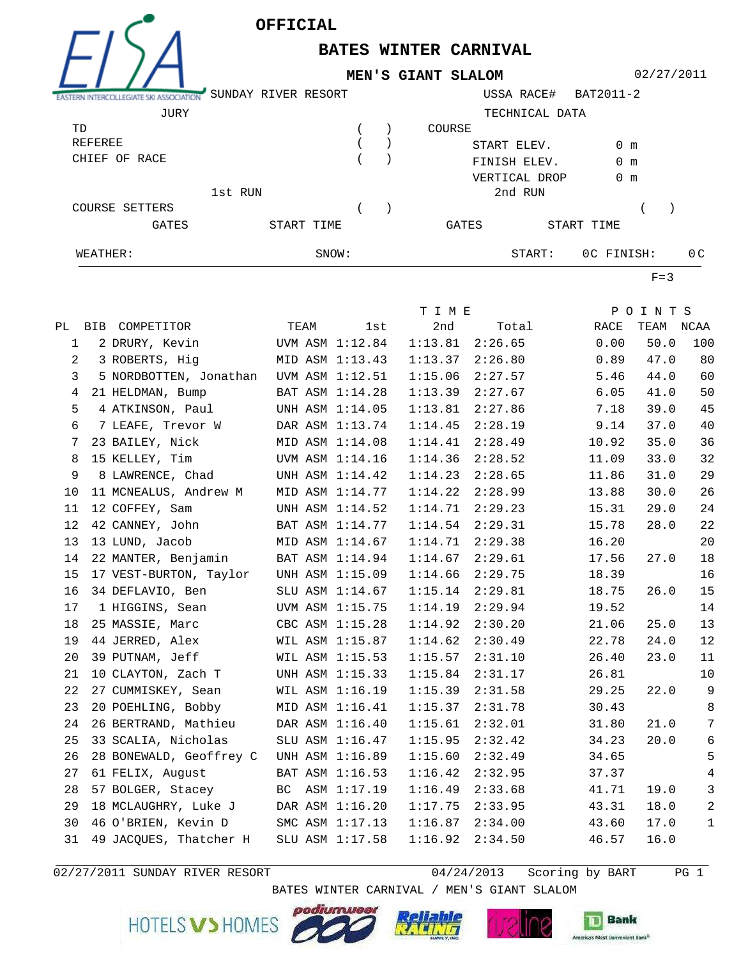

## **OFFICIAL**

**BATES WINTER CARNIVAL** 

**MEN'S GIANT SLALOM**

## 02/27/2011

| STERN INTERCOLLEGIATE SKI ASSOCIATION | SUNDAY RIVER RESORT |  | USSA RACE#     |        | BAT2011-2      |                |
|---------------------------------------|---------------------|--|----------------|--------|----------------|----------------|
| JURY                                  |                     |  | TECHNICAL DATA |        |                |                |
| TD                                    |                     |  | COURSE         |        |                |                |
| REFEREE                               |                     |  | START ELEV.    |        | $0 \text{ m}$  |                |
| CHIEF OF RACE                         |                     |  | FINISH ELEV.   |        | $0 \text{ m}$  |                |
|                                       |                     |  | VERTICAL DROP  |        | 0 <sub>m</sub> |                |
|                                       | 1st RUN             |  | 2nd RUN        |        |                |                |
| COURSE SETTERS                        |                     |  |                |        |                |                |
| GATES                                 | START TIME          |  | GATES          |        | START TIME     |                |
| WEATHER:                              | SNOW:               |  |                | START: | OC FINISH:     | 0 <sup>C</sup> |

 $F=3$ 

|                |                         |                 |                 | T I M E |         |       | POINTS    |                |
|----------------|-------------------------|-----------------|-----------------|---------|---------|-------|-----------|----------------|
|                | PL BIB COMPETITOR       | TEAM            | lst             | 2nd     | Total   | RACE  | TEAM NCAA |                |
| 1              | 2 DRURY, Kevin          |                 | UVM ASM 1:12.84 | 1:13.81 | 2:26.65 | 0.00  | 50.0      | 100            |
| $\overline{a}$ | 3 ROBERTS, Hig          | MID ASM 1:13.43 |                 | 1:13.37 | 2:26.80 | 0.89  | 47.0      | 80             |
| 3              | 5 NORDBOTTEN, Jonathan  | UVM ASM 1:12.51 |                 | 1:15.06 | 2:27.57 | 5.46  | 44.0      | 60             |
| 4              | 21 HELDMAN, Bump        | BAT ASM 1:14.28 |                 | 1:13.39 | 2:27.67 | 6.05  | 41.0      | 50             |
| 5              | 4 ATKINSON, Paul        | UNH ASM 1:14.05 |                 | 1:13.81 | 2:27.86 | 7.18  | 39.0      | 45             |
| 6              | 7 LEAFE, Trevor W       | DAR ASM 1:13.74 |                 | 1:14.45 | 2:28.19 | 9.14  | 37.0      | 40             |
| 7              | 23 BAILEY, Nick         | MID ASM 1:14.08 |                 | 1:14.41 | 2:28.49 | 10.92 | 35.0      | 36             |
| 8              | 15 KELLEY, Tim          | UVM ASM 1:14.16 |                 | 1:14.36 | 2:28.52 | 11.09 | 33.0      | 32             |
| 9              | 8 LAWRENCE, Chad        | UNH ASM 1:14.42 |                 | 1:14.23 | 2:28.65 | 11.86 | 31.0      | 29             |
| 10             | 11 MCNEALUS, Andrew M   | MID ASM 1:14.77 |                 | 1:14.22 | 2:28.99 | 13.88 | 30.0      | 26             |
| 11             | 12 COFFEY, Sam          | UNH ASM 1:14.52 |                 | 1:14.71 | 2:29.23 | 15.31 | 29.0      | 24             |
| 12             | 42 CANNEY, John         | BAT ASM 1:14.77 |                 | 1:14.54 | 2:29.31 | 15.78 | 28.0      | 22             |
| 13             | 13 LUND, Jacob          | MID ASM 1:14.67 |                 | 1:14.71 | 2:29.38 | 16.20 |           | 20             |
| 14             | 22 MANTER, Benjamin     | BAT ASM 1:14.94 |                 | 1:14.67 | 2:29.61 | 17.56 | 27.0      | 18             |
| 15             | 17 VEST-BURTON, Taylor  | UNH ASM 1:15.09 |                 | 1:14.66 | 2:29.75 | 18.39 |           | 16             |
| 16             | 34 DEFLAVIO, Ben        |                 | SLU ASM 1:14.67 | 1:15.14 | 2:29.81 | 18.75 | 26.0      | 15             |
| 17             | 1 HIGGINS, Sean         | UVM ASM 1:15.75 |                 | 1:14.19 | 2:29.94 | 19.52 |           | 14             |
| 18             | 25 MASSIE, Marc         | CBC ASM 1:15.28 |                 | 1:14.92 | 2:30.20 | 21.06 | 25.0      | 13             |
| 19             | 44 JERRED, Alex         |                 | WIL ASM 1:15.87 | 1:14.62 | 2:30.49 | 22.78 | 24.0      | 12             |
| 20             | 39 PUTNAM, Jeff         | WIL ASM 1:15.53 |                 | 1:15.57 | 2:31.10 | 26.40 | 23.0      | 11             |
| 21             | 10 CLAYTON, Zach T      | UNH ASM 1:15.33 |                 | 1:15.84 | 2:31.17 | 26.81 |           | 10             |
| 22             | 27 CUMMISKEY, Sean      | WIL ASM 1:16.19 |                 | 1:15.39 | 2:31.58 | 29.25 | 22.0      | $\overline{9}$ |
| 23             | 20 POEHLING, Bobby      | MID ASM 1:16.41 |                 | 1:15.37 | 2:31.78 | 30.43 |           | 8              |
| 24             | 26 BERTRAND, Mathieu    | DAR ASM 1:16.40 |                 | 1:15.61 | 2:32.01 | 31.80 | 21.0      | 7              |
| 25             | 33 SCALIA, Nicholas     |                 | SLU ASM 1:16.47 | 1:15.95 | 2:32.42 | 34.23 | 20.0      | $\sqrt{6}$     |
| 26             | 28 BONEWALD, Geoffrey C | UNH ASM 1:16.89 |                 | 1:15.60 | 2:32.49 | 34.65 |           | 5              |
| 27             | 61 FELIX, August        | BAT ASM 1:16.53 |                 | 1:16.42 | 2:32.95 | 37.37 |           | 4              |
| 28             | 57 BOLGER, Stacey       | BC              | ASM 1:17.19     | 1:16.49 | 2:33.68 | 41.71 | 19.0      | $\mathbf{3}$   |
| 29             | 18 MCLAUGHRY, Luke J    | DAR ASM 1:16.20 |                 | 1:17.75 | 2:33.95 | 43.31 | 18.0      | 2              |
| 30             | 46 O'BRIEN, Kevin D     | SMC ASM 1:17.13 |                 | 1:16.87 | 2:34.00 | 43.60 | 17.0      | $\mathbf{1}$   |
| 31             | 49 JACQUES, Thatcher H  | SLU ASM 1:17.58 |                 | 1:16.92 | 2:34.50 | 46.57 | 16.0      |                |

 $02/27/2011$  SUNDAY RIVER RESORT

 $04/24/2013$  Scoring by BART PG 1

BATES WINTER CARNIVAL / MEN'S GIANT SLALOM